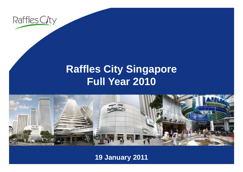

### **R ffl Cit Si affles City Singapore Full Year 2010**



**19 January 2011**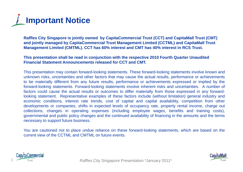

**Raffles City Singapore is jointly owned by CapitaCommercial Trust (CCT) and CapitaMall Trust (CMT) and jointly managed by CapitaCommercial Trust Management Limited (CCTML) and CapitaMall Trust**  Management Limited (CMTML). CCT has 60% interest and CMT has 40% interest in RCS Trust.

#### **This presentation shall be read in conjunction with the respective 2010 Fourth Quarter Unaudited Financial Statement Announcements released for CCT and CMT.**

This presentation may contain forward-looking statements. These forward-looking statements involve known and unknown risks, uncertainties and other factors that may cause the actual results, performance or achievements to be materially different from any future results, performance or achievements expressed or implied by the forward-looking statements. Forward-looking statements involve inherent risks and uncertainties. A number of factors could cause the actual results or outcomes to differ materially from those expressed in any forwardlooking statement. Representative examples of these factors include (without limitation) general industry and economic conditions, interest rate trends, cost of capital and capital availability, competition from other developments or companies, shifts in expected levels of occupancy rate, property rental income, charge out collections, changes in operating expenses (including employee wages, benefits and training costs), governmental and public policy changes and the continued availability of financing in the amounts and the terms necessary to support future business.

You are cautioned not to place undue reliance on these forward-looking statements, which are based on the current view of the CCTML and CMTML on future events.



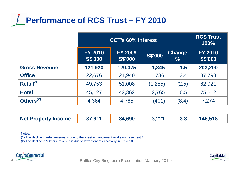

|                       | <b>CCT's 60% Interest</b>        |                                  |                |                                | <b>RCS Trust</b><br>100%         |
|-----------------------|----------------------------------|----------------------------------|----------------|--------------------------------|----------------------------------|
|                       | <b>FY 2010</b><br><b>S\$'000</b> | <b>FY 2009</b><br><b>S\$'000</b> | <b>S\$'000</b> | <b>Change</b><br>$\frac{0}{0}$ | <b>FY 2010</b><br><b>S\$'000</b> |
| <b>Gross Revenue</b>  | 121,920                          | 120,075                          | 1,845          | 1.5                            | 203,200                          |
| <b>Office</b>         | 22,676                           | 21,940                           | 736            | 3.4                            | 37,793                           |
| $Retail^{(1)}$        | 49,753                           | 51,008                           | (1,255)        | (2.5)                          | 82,921                           |
| <b>Hotel</b>          | 45,127                           | 42,362                           | 2,765          | 6.5                            | 75,212                           |
| Others <sup>(2)</sup> | 4,364                            | 4,765                            | (401)          | (8.4)                          | 7,274                            |

| <b>Net Property Income</b> | 87,911 | 84,690 | 3,221 |  | 146,518 |
|----------------------------|--------|--------|-------|--|---------|
|----------------------------|--------|--------|-------|--|---------|

Notes:

(1) The decline in retail revenue is due to the asset enhancement works on Basement 1.

(2) The decline in "Others" revenue is due to lower tenants' recovery in FY 2010.





Raffles City Singapore Presentation \*January 2011\* Raffles City Singapore Presentation \*January 2011\*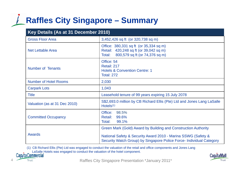## **Raffles City Singapore – Summary**

| Key Details (As at 31 December 2010) |                                                                                                                                                                                                         |  |  |  |
|--------------------------------------|---------------------------------------------------------------------------------------------------------------------------------------------------------------------------------------------------------|--|--|--|
| <b>Gross Floor Area</b>              | 3,452,426 sq ft (or 320,738 sq m)                                                                                                                                                                       |  |  |  |
| <b>Net Lettable Area</b>             | Office: 380,331 sq ft (or 35,334 sq m)<br>Retail: 420,248 sq ft (or 39,042 sq m)<br>800,579 sq ft (or 74,376 sq m)<br>Total:                                                                            |  |  |  |
| <b>Number of Tenants</b>             | Office: 54<br>Retail: 217<br><b>Hotels &amp; Convention Centre: 1</b><br><b>Total: 272</b>                                                                                                              |  |  |  |
| <b>Number of Hotel Rooms</b>         | 2,030                                                                                                                                                                                                   |  |  |  |
| <b>Carpark Lots</b>                  | 1,043                                                                                                                                                                                                   |  |  |  |
| <b>Title</b>                         | Leasehold tenure of 99 years expiring 15 July 2078                                                                                                                                                      |  |  |  |
| Valuation (as at 31 Dec 2010)        | S\$2,693.0 million by CB Richard Ellis (Pte) Ltd and Jones Lang LaSalle<br>Hotels <sup>(1)</sup>                                                                                                        |  |  |  |
| <b>Committed Occupancy</b>           | 98.5%<br>Office:<br><b>Retail:</b><br>99.6%<br>Total:<br>99.1%                                                                                                                                          |  |  |  |
| <b>Awards</b>                        | Green Mark (Gold) Award by Building and Construction Authority<br>National Safety & Security Award 2010 - Marina SSWG (Safety &<br>Security Watch Group) by Singapore Police Force- Individual Category |  |  |  |

(1) CB Richard Ellis (Pte) Ltd was engaged to conduct the valuation of the retail and office components and Jones Lang LaSalle Hotels was engaged to conduct the valuation of the hotel component.<br>Cap/taCommercial



Trust

Raffles City Singapore Presentation \*January 2011\*



4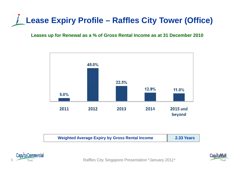# **Lease Expiry Profile – Raffles City Tower (Office)**

### **Leases up for Renewal as a % of Gross Rental Income as at 31 December 2010**



| <b>Weighted Average Expiry by Gross Rental Income</b> | 2.33 Years |
|-------------------------------------------------------|------------|
|                                                       |            |



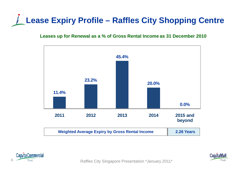# **Lease Expiry Profile – Raffles City Shopping Centre**

### **Leases up for Renewal as a % of Gross Rental Income as 31 December 2010**







Raffles City Singapore Presentation \*January 2011\*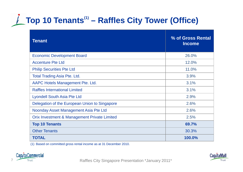# **Top 10 Tenants(1) – Raffles City Tower (Office)**

| Tenant                                        | % of Gross Rental<br><b>Income</b> |
|-----------------------------------------------|------------------------------------|
| <b>Economic Development Board</b>             | 26.0%                              |
| <b>Accenture Pte Ltd</b>                      | 12.0%                              |
| <b>Philip Securities Pte Ltd</b>              | 11.0%                              |
| <b>Total Trading Asia Pte. Ltd.</b>           | 3.9%                               |
| AAPC Hotels Management Pte. Ltd.              | 3.1%                               |
| <b>Raffles International Limited</b>          | 3.1%                               |
| <b>Lyondell South Asia Pte Ltd</b>            | 2.9%                               |
| Delegation of the European Union to Singapore | 2.6%                               |
| Noonday Asset Management Asia Pte Ltd         | 2.6%                               |
| Orix Investment & Management Private Limited  | 2.5%                               |
| <b>Top 10 Tenants</b>                         | 69.7%                              |
| <b>Other Tenants</b>                          | 30.3%                              |
| <b>TOTAL</b>                                  | 100.0%                             |

(1) Based on committed gross rental income as at 31 December 2010 2010.



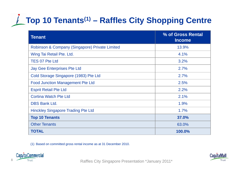# **Top 10 Tenants(1) – Raffles City Shopping Centre**

| <b>Tenant</b>                                  | % of Gross Rental<br><b>Income</b> |
|------------------------------------------------|------------------------------------|
| Robinson & Company (Singapore) Private Limited | 13.9%                              |
| Wing Tai Retail Pte. Ltd.                      | 4.1%                               |
| <b>TES 07 Pte Ltd</b>                          | 3.2%                               |
| <b>Jay Gee Enterprises Pte Ltd</b>             | 2.7%                               |
| Cold Storage Singapore (1983) Pte Ltd          | 2.7%                               |
| <b>Food Junction Management Pte Ltd</b>        | 2.5%                               |
| <b>Esprit Retail Pte Ltd</b>                   | 2.2%                               |
| <b>Cortina Watch Pte Ltd</b>                   | 2.1%                               |
| <b>DBS Bank Ltd.</b>                           | 1.9%                               |
| <b>Hinckley Singapore Trading Pte Ltd</b>      | 1.7%                               |
| <b>Top 10 Tenants</b>                          | 37.0%                              |
| <b>Other Tenants</b>                           | 63.0%                              |
| <b>TOTAL</b>                                   | 100.0%                             |

(1) Based on committed gross rental income as at 31 December 2010 2010.



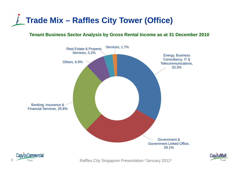

### **Tenant Business Sector Analysis by Gross Rental Income as at 31 December 2010**



Raffles City Singapore Presentation \*January 2011\*

Trust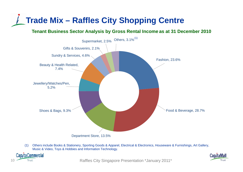## **Trade Mix – Raffles City Shopping Centre**

**Tenant Business Sector Analysis by Gross Rental Income as at 31 December 2010**



(1) Others include Books & Stationery, Sporting Goods & Apparel, Electrical & Electronics, Houseware & Furnishings, Art Gallery, Music & Video, Toys & Hobbies and Information Technology.



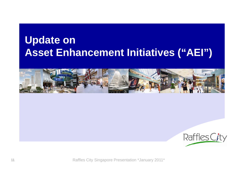## **Update on Asset Enhancement Initiatives ("AEI")**





Raffles City Singapore Presentation \*January 2011\*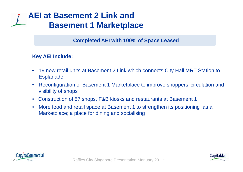### **AEI at Basement 2 Link and Basement 1 Marketplace**

**Completed AEI with 100% of Space Leased**

### **Key AEI Include:**

- • 19 new retail units at Basement 2 Link which connects City Hall MRT Station to Esplanade
- •• Reconfiguration of Basement 1 Marketplace to improve shoppers' circulation and visibility of shops
- Construction of 57 shops, F&B kiosks and restaurants at Basement 1
- •• More food and retail space at Basement 1 to strengthen its positioning as a Marketplace; a place for dining and socialising



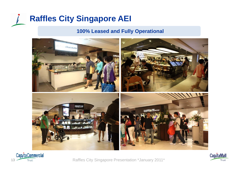# **Raffles City Singapore AEI**

### **100% Leased and Fully Operational**





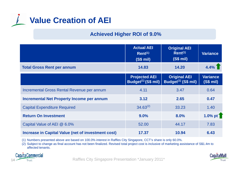

### **Achieved Higher ROI of 9.0%**

|                                                    | <b>Actual AEI</b><br>$Rent^{(1)}$<br>(S\$ mi)           | <b>Original AEI</b><br>$Rent^{(1)}$<br>(S\$ mi) | <b>Variance</b>                                                 |
|----------------------------------------------------|---------------------------------------------------------|-------------------------------------------------|-----------------------------------------------------------------|
| <b>Total Gross Rent per annum</b>                  | 14.83                                                   | 14.20                                           | $4.4\%$                                                         |
|                                                    | <b>Projected AEI</b><br>Budget <sup>(1)</sup> (S\$ mil) | <b>Original AEI</b><br>Budget $(1)$ (S\$ mil)   | <b>Variance</b><br>(S\$ mi)                                     |
| Incremental Gross Rental Revenue per annum         | 4.11                                                    | 3.47                                            | 0.64                                                            |
| <b>Incremental Net Property Income per annum</b>   | 3.12                                                    | 2.65                                            | 0.47                                                            |
| <b>Capital Expenditure Required</b>                | $34.63^{(2)}$                                           | 33.23                                           | 1.40                                                            |
| <b>Return On Investment</b>                        | 9.0%                                                    | 8.0%                                            | 1.0% pt $\begin{array}{c} \textsf{T} \\ \textsf{T} \end{array}$ |
| Capital Value of AEI @ 6.0%                        | 52.00                                                   | 44.17                                           | 7.83                                                            |
| Increase in Capital Value (net of investment cost) | 17.37                                                   | 10.94                                           | 6.43                                                            |

(1) Numbers presented above are based on 100.0% interest in Raffles City Singapore, CCT's share is only 60.0%.

(2) Subject to change as final account has not been finalized. Revised total project cost is inclusive of marketing assistance of S\$1.4m to affected tenants.